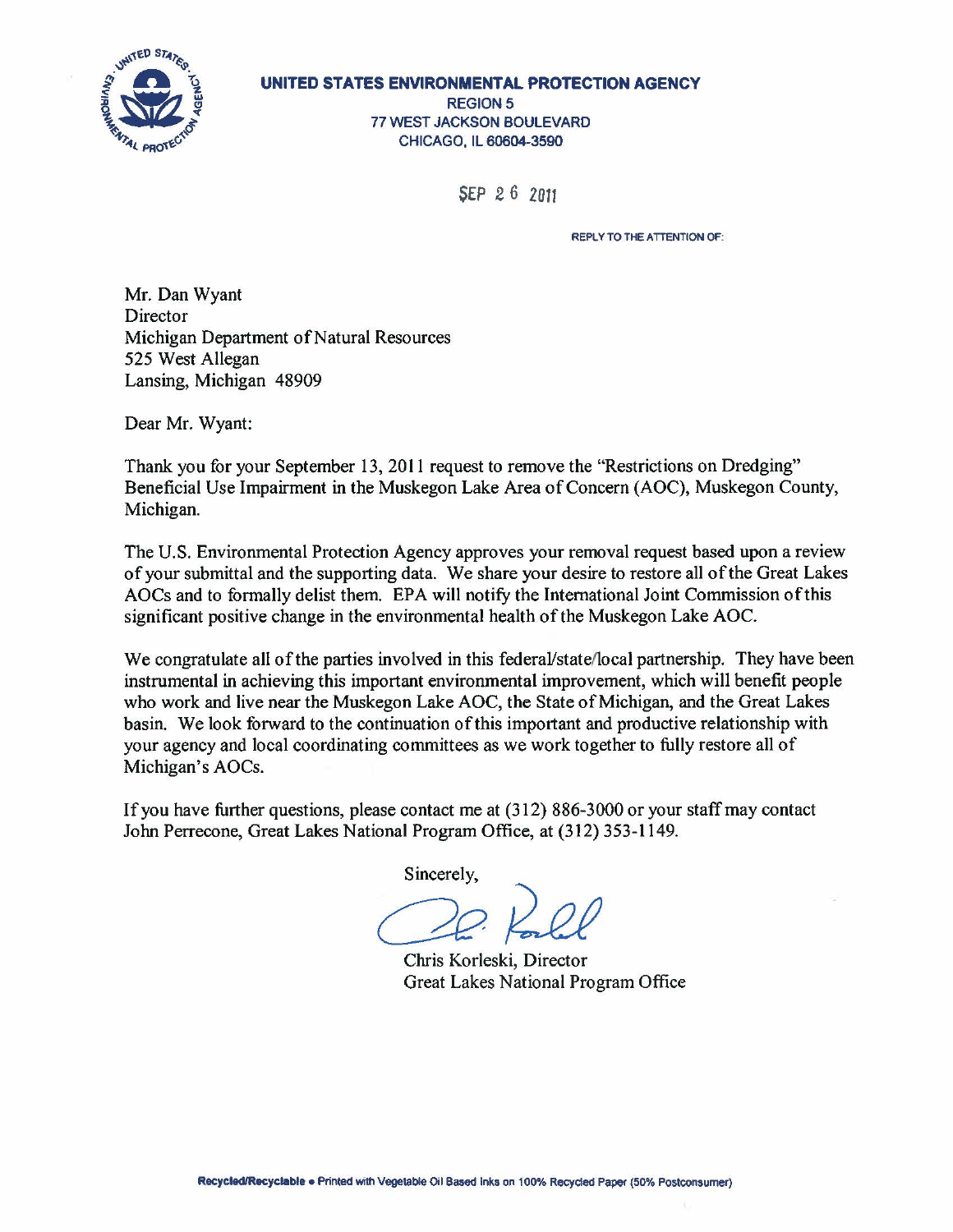

**UNITED STATES ENVIRONMENTAL PROTECTION AGENCY REGION 5** 77 WEST JACKSON BOULEVARD CHICAGO, IL 60604-3590

SEP *2* 6 2011

REPLY TO THE ATTENTION OF:

Mr. Dan Wyant **Director** Michigan Department of Natural Resources 525 West Allegan Lansing, Michigan 48909

Dear Mr. Wyant:

Thank you for your September 13, 2011 request to remove the "Restrictions on Dredging" Beneficial Use Impairment in the Muskegon Lake Area of Concern (AOC), Muskegon County, Michigan.

The U.S. Environmental Protection Agency approves your removal request based upon a review of your submittal and the supporting data. We share your desire to restore all ofthe Great Lakes AOCs and to formally delist them. EPA will notify the International Joint Commission ofthis significant positive change in the environmental health of the Muskegon Lake AOC.

We congratulate all of the parties involved in this federal/state/local partnership. They have been instrumental in achieving this important environmental improvement, which will benefit people who work and live near the Muskegon Lake AOC, the State of Michigan, and the Great Lakes basin. We look forward to the continuation of this important and productive relationship with your agency and local coordinating committees as we work together to fully restore all of Michigan's AOCs.

If you have further questions, please contact me at (312) 886-3000 or your staff may contact John Perrecone, Great Lakes National Program Office, at (312) 353-1149.

Sincerely,

Chris Korleski, Director Great Lakes National Program Office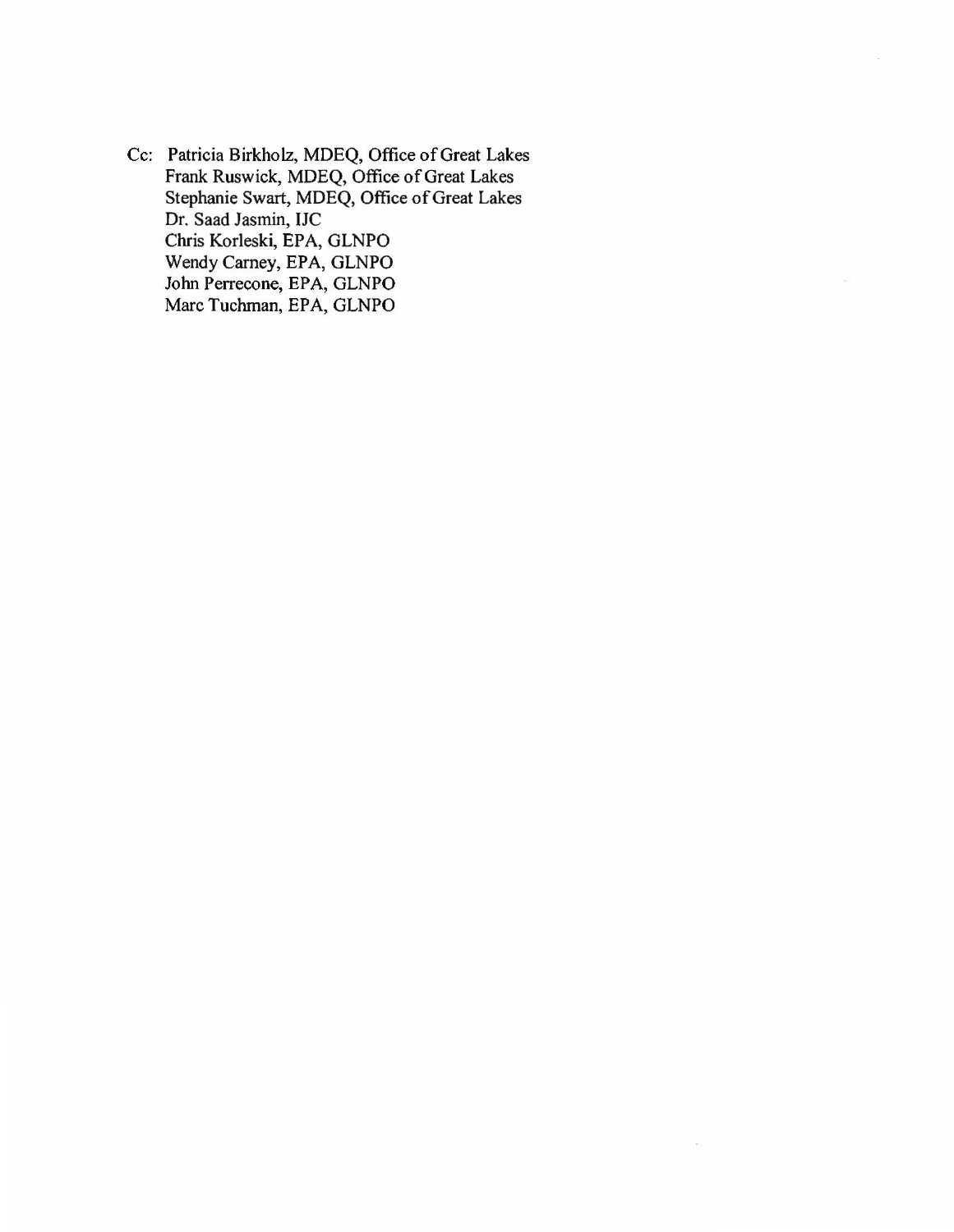Cc: Patricia Birkholz, MDEQ, Office of Great Lakes Frank Ruswick, MDEQ, Office of Great Lakes Stephanie Swart, MDEQ, Office of Great Lakes Dr. Saad Jasmin, IJC Chris Korleski, EPA, GLNPO Wendy Carney, EPA, GLNPO John Perrecone, EPA, GLNPO Marc Tuchman, EPA, GLNPO

 $\mathcal{L}_{\mathcal{D}}$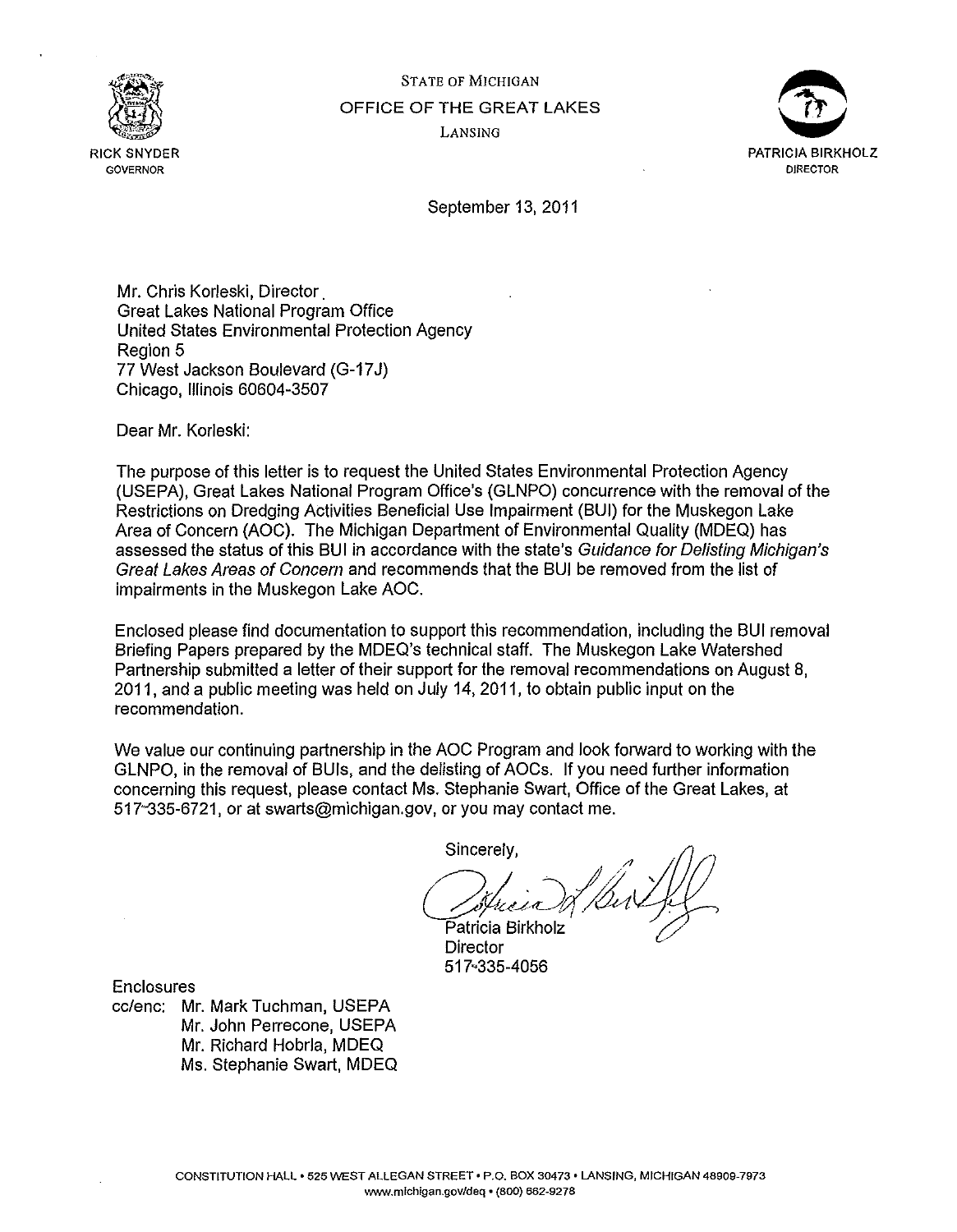

STATE OF MICHIGAN OFFICE OF THE GREAT LAKES LANSING



September 13, 2011

Mr. Chris Korleski, Director. Great Lakes National Program Office United States Environmental Protection Agency Region 5 77 West Jackson Boulevard (G-17 J) Chicago, Illinois 60604-3507

Dear Mr. Korleski:

The purpose of this letter is to request the United States Environmental Protection Agency (USEPA), Great Lakes National Program Office's (GLNPO) concurrence with the removal of the Restrictions on Dredging Activities Beneficial Use Impairment (BUI) for the Muskegon Lake Area of Concern (AOC). The Michigan Department of Environmental Quality (MDEQ) has assessed the status of this BUI in accordance with the state's Guidance for Delisting Michigan's Great Lakes Areas of Concern and recommends that the BUI be removed from the list of impairments in the Muskegon Lake AOC.

Enclosed please find documentation to support this recommendation, including the BUI removal Briefing Papers prepared by the MDEQ's technical staff. The Muskegon Lake Watershed Partnership submitted a letter of their support for the removal recommendations on August 8, 2011, and a public meeting was held on July 14, 2011, to obtain public input on the recommendation.

We value our continuing partnership in the AOC Program and look forward to working with the GLNPO, in the removal of BUis, and the delisting of AOCs. If you need further information concerning this request, please contact Ms. Stephanie Swart, Office of the Great Lakes, at 517-335-6721, or at swarts@michigan.gov, or you may contact me.

Sincerely,

( Street & Del film  $\mathcal{D}$  is the circumstance of  $\mathcal{D}$  .  $\mathcal{D}$  .  $\mathcal{D}$  .  $\mathcal{D}$  .  $\mathcal{D}$  .  $\mathcal{D}$  . Director

**Director** 517·335-4056

**Enclosures** 

cc/enc: Mr. Mark Tuchman, USEPA Mr. John Perrecone, USEPA Mr. Richard Hobrla, MDEQ Ms. Stephanie Swart, MDEQ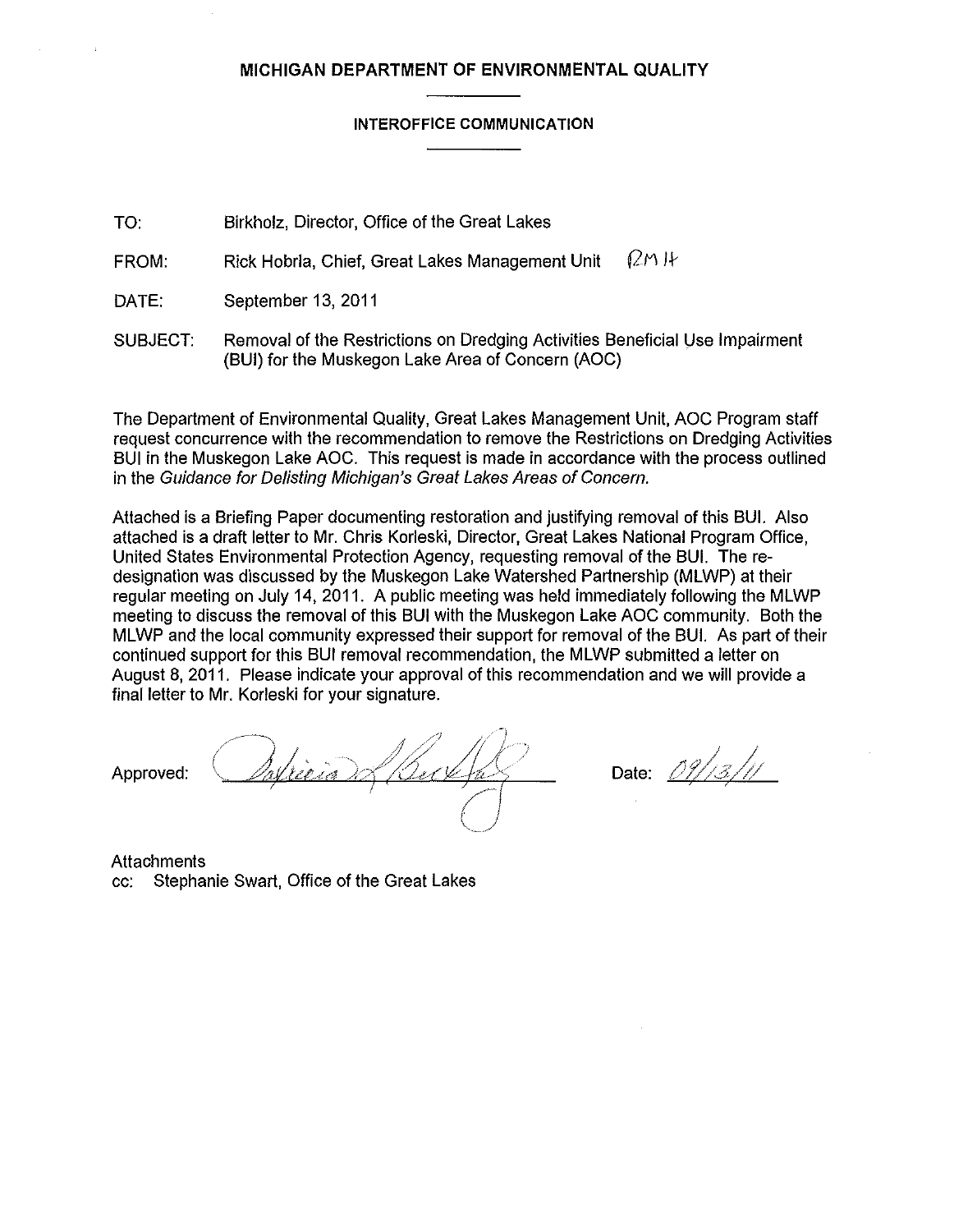# **MICHIGAN DEPARTMENT OF ENVIRONMENTAL QUALITY**

#### **INTEROFFICE COMMUNICATION**

TO: Birkholz, Director, Office of the Great Lakes

FROM: Rick Hobrla, Chief, Great Lakes Management Unit  $(2M)$  It

DATE: September 13, 2011

SUBJECT: Removal of the Restrictions on Dredging Activities Beneficial Use Impairment (BUI) for the Muskegon Lake Area of Concern (AOC)

The Department of Environmental Quality, Great Lakes Management Unit, AOC Program staff request concurrence with the recommendation to remove the Restrictions on Dredging Activities BUI in the Muskegon Lake AOC. This request is made in accordance with the process outlined in the Guidance for Delisting Michigan's Great Lakes Areas of Concern.

Attached is a Briefing Paper documenting restoration and justifying removal of this BUI. Also attached is a draft letter to Mr. Chris Korleski, Director, Great Lakes National Program Office, United States Environmental Protection Agency, requesting removal of the BUI. Theredesignation was discussed by the Muskegon Lake Watershed Partnership (MLWP) at their regular meeting on July 14, 2011. A public meeting was held immediately following the MLWP meeting to discuss the removal of this BUI with the Muskegon Lake AOC community. Both the MLWP and the local community expressed their support for removal of the BUI. As part of their continued support for this BUI removal recommendation, the MLWP submitted a letter on August 8, 2011. Please indicate your approval of this recommendation and we will provide a final letter to Mr. Korleski for your signature.

Approved: Antician Alberthas Date: 09/13/11

**Attachments** cc: Stephanie Swart, Office of the Great Lakes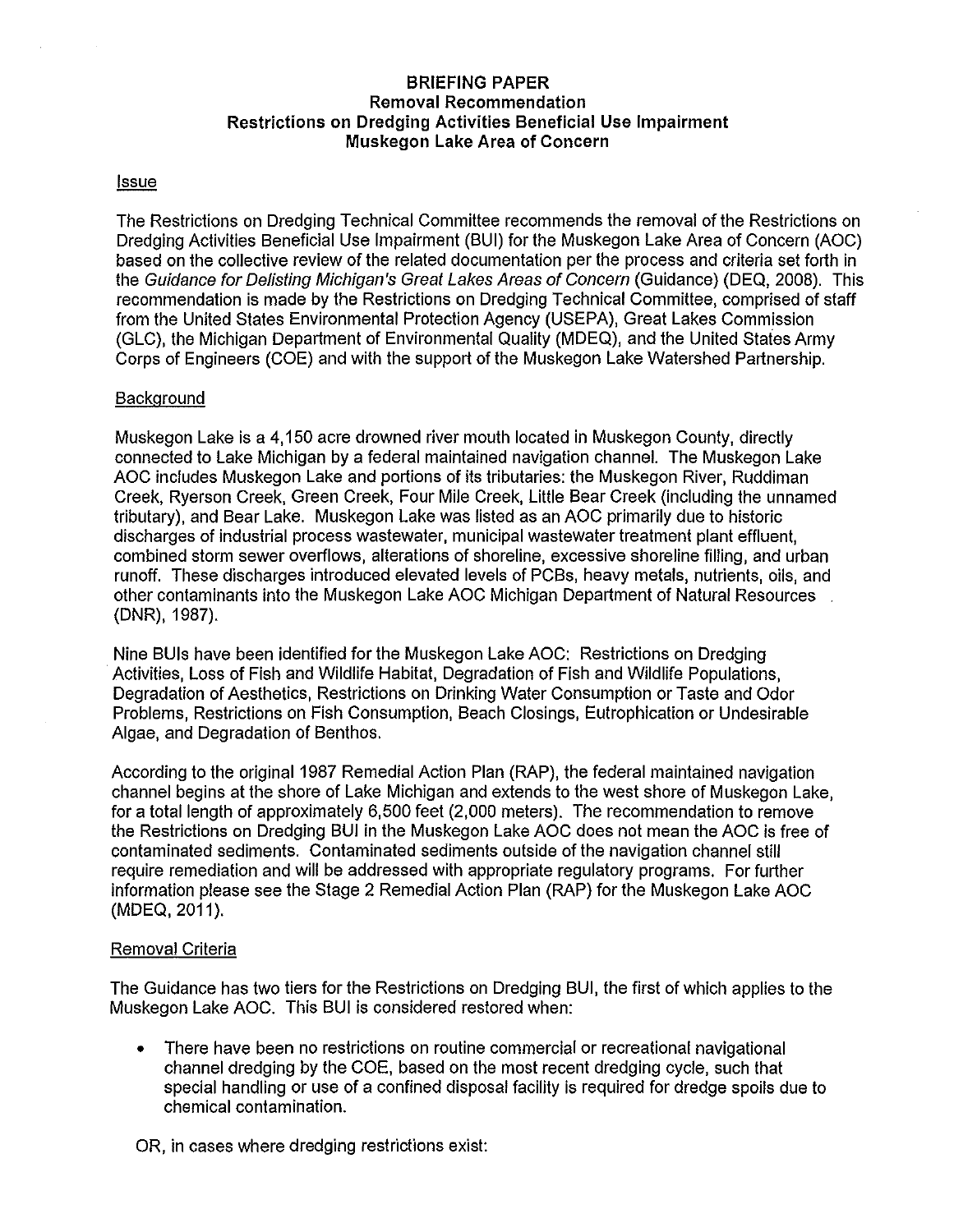# **BRIEFING PAPER Removal Recommendation Restrictions on Dredging Activities Beneficial Use Impairment Muskegon Lake Area of Concern**

#### **Issue**

The Restrictions on Dredging Technical Committee recommends the removal of the Restrictions on Dredging Activities Beneficial Use Impairment (BUI) for the Muskegon Lake Area of Concern (AOC) based on the collective review of the related documentation per the process and criteria set forth in the Guidance for Oelisting Michigan's Great Lakes Areas of Concern (Guidance) (DEQ, 2008). This recommendation is made by the Restrictions on Dredging Technical Committee, comprised of staff from the United States Environmental Protection Agency (USEPA), Great Lakes Commission (GLC), the Michigan Department of Environmental Quality (MDEQ), and the United States Army Corps of Engineers (COE) and with the support of the Muskegon Lake Watershed Partnership.

## **Background**

Muskegon Lake is a 4,150 acre drowned river mouth located in Muskegon County, directly connected to Lake Michigan by a federal maintained navigation channel. The Muskegon Lake AOC includes Muskegon Lake and portions of its tributaries: the Muskegon River, Ruddiman Creek, Ryerson Creek, Green Creek, Four Mile Creek, Little Bear Creek (including the unnamed tributary), and Bear Lake. Muskegon Lake was listed as an AOC primarily due to historic discharges of industrial process wastewater, municipal wastewater treatment plant effluent, combined storm sewer overflows, alterations of shoreline, excessive shoreline filling, and urban runoff. These discharges introduced elevated levels of PCBs, heavy metals, nutrients, oils, and other contaminants into the Muskegon Lake AOC Michigan Department of Natural Resources (DNR), 1987).

Nine BUis have been identified for the Muskegon Lake AOC: Restrictions on Dredging Activities, Loss of Fish and Wildlife Habitat, Degradation of Fish and Wildlife Populations, Degradation of Aesthetics, Restrictions on Drinking Water Consumption or Taste and Odor Problems, Restrictions on Fish Consumption, Beach Closings, Eutrophication or Undesirable Algae, and Degradation of Benthos.

According to the original 1987 Remedial Action Plan (RAP), the federal maintained navigation channel begins at the shore of Lake Michigan and extends to the west shore of Muskegon Lake, for a total length of approximately 6,500 feet (2,000 meters). The recommendation to remove the Restrictions on Dredging BUI in the Muskegon Lake AOC does not mean the AOC is free of contaminated sediments. Contaminated sediments outside of the navigation channel still require remediation and will be addressed with appropriate regulatory programs. For further information please see the Stage 2 Remedial Action Plan (RAP) for the Muskegon Lake AOC (MDEQ, 2011).

#### Removal Criteria

The Guidance has two tiers for the Restrictions on Dredging BUI, the first of which applies to the Muskegon Lake AOC. This BUI is considered restored when:

• There have been no restrictions on routine commercial or recreational navigational channel dredging by the COE, based on the most recent dredging cycle, such that special handling or use of a confined disposal facility is required for dredge spoils due to chemical contamination.

OR, in cases where dredging restrictions exist: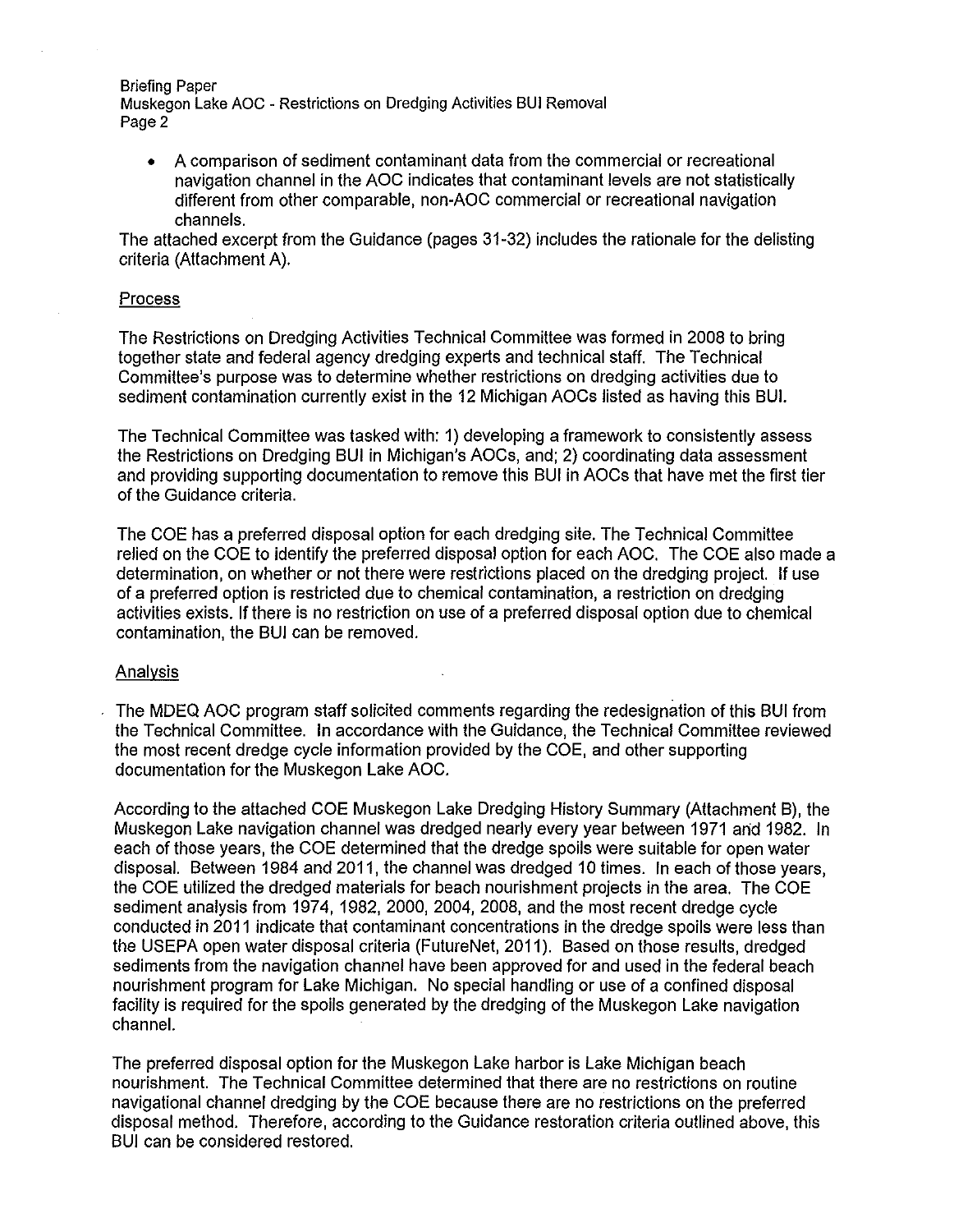Briefing Paper Muskegon Lake AOC - Restrictions on Dredging Activities BUI Removal Page 2

• A comparison of sediment contaminant data from the commercial or recreational navigation channel in the AOC indicates that contaminant levels are not statistically different from other comparable, non-AOC commercial or recreational navigation channels.

The attached excerpt from the Guidance (pages 31-32) includes the rationale for the delisting criteria (Attachment A).

## Process

The Restrictions on Dredging Activities Technical Committee was formed in 2008 to bring together state and federal agency dredging experts and technical staff. The Technical Committee's purpose was to determine whether restrictions on dredging activities due to sediment contamination currently exist in the 12 Michigan AOCs listed as having this SUI.

The Technical Committee was tasked with: 1) developing a framework to consistently assess the Restrictions on Dredging SUI in Michigan's AOCs, and; 2) coordinating data assessment and providing supporting documentation to remove this SUI in AOCs that have met the first tier of the Guidance criteria.

The COE has a preferred disposal option for each dredging site. The Technical Committee relied on the COE to identify the preferred disposal option for each AOC. The COE also made a determination, on whether or not there were restrictions placed on the dredging project. If use of a preferred option is restricted due to chemical contamination, a restriction on dredging activities exists. If there is no restriction on use of a preferred disposal option due to chemical contamination, the SUI can be removed.

#### Analysis

The MDEQ AOC program staff solicited comments regarding the redesignation of this SUI from the Technical Committee. In accordance with the Guidance, the Technical Committee reviewed the most recent dredge cycle information provided by the COE, and other supporting documentation for the Muskegon Lake AOC.

According to the attached COE Muskegon Lake Dredging History Summary (Attachment B), the Muskegon Lake navigation channel was dredged nearly every year between 1971 arid 1982. In each of those years, the COE determined that the dredge spoils were suitable for open water disposal. Between 1984 and 2011, the channel was dredged 10 times. In each of those years, the COE utilized the dredged materials for beach nourishment projects in the area. The COE sediment analysis from 1974, 1982, 2000, 2004, 2008, and the most recent dredge cycle conducted in 2011 indicate that contaminant concentrations in the dredge spoils were less than the USEPA open water disposal criteria (FutureNet, 2011). Based on those results, dredged sediments from the navigation channel have been approved for and used in the federal beach nourishment program for Lake Michigan. No special handling or use of a confined disposal facility is required for the spoils generated by the dredging of the Muskegon Lake navigation channel.

The preferred disposal option for the Muskegon Lake harbor is Lake Michigan beach nourishment. The Technical Committee determined that there are no restrictions on routine navigational channel dredging by the COE because there are no restrictions on the preferred disposal method. Therefore, according to the Guidance restoration criteria outlined above, this SUI can be considered restored.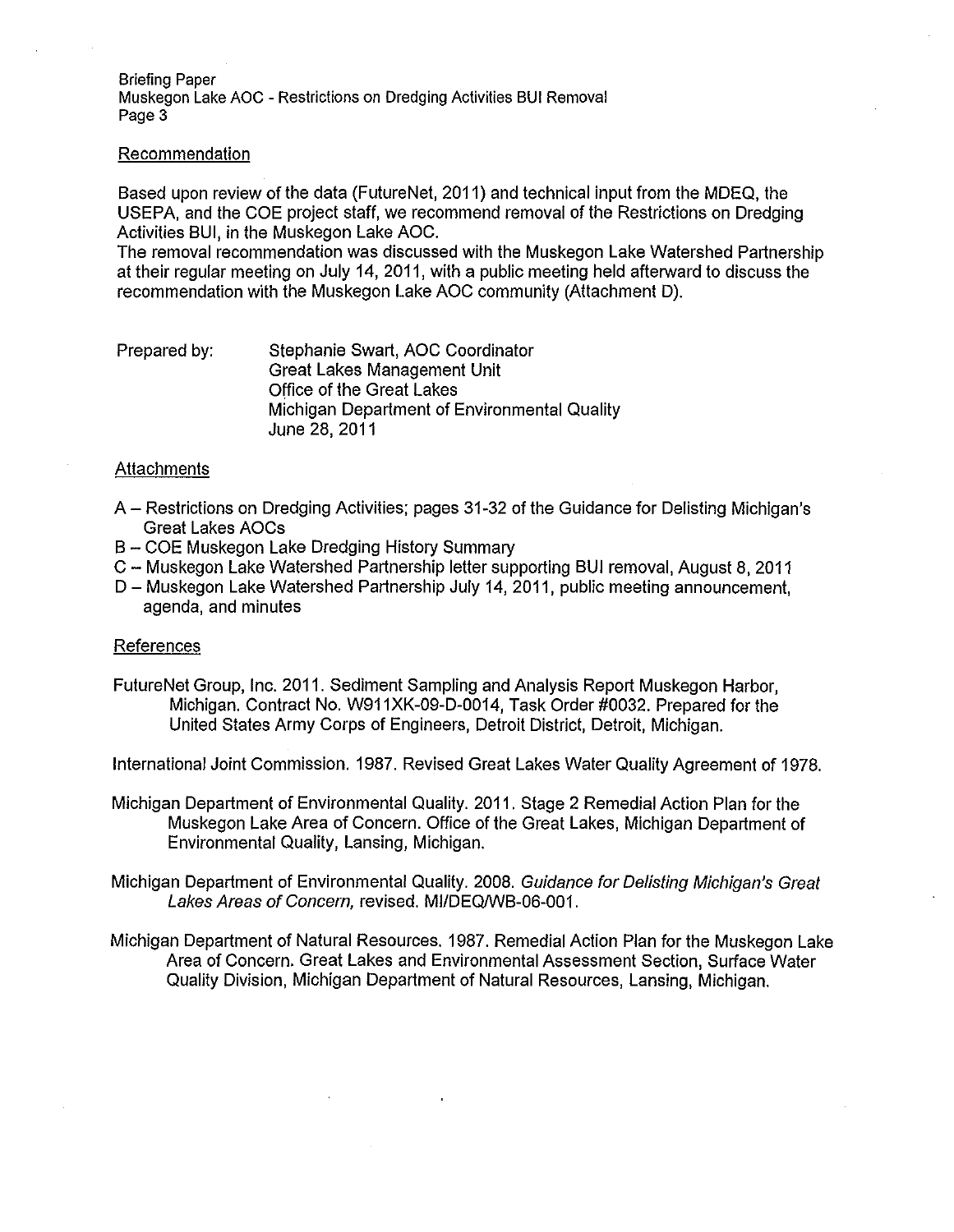Briefing Paper Muskegon Lake AOC - Restrictions on Dredging Activities BUI Removal Page 3

#### Recommendation

Based upon review of the data (Future Net, 2011) and technical input from the MDEQ, the US EPA, and the COE project staff, we recommend removal of the Restrictions on Dredging Activities BUI, in the Muskegon Lake AOC.

The removal recommendation was discussed with the Muskegon Lake Watershed Partnership at their regular meeting on July 14, 2011, with a public meeting held afterward to discuss the recommendation with the Muskegon Lake AOC community (Attachment D).

#### Prepared by: Stephanie Swart, AOC Coordinator Great Lakes Management Unit Office of the Great Lakes Michigan Department of Environmental Quality June 28, 2011

#### **Attachments**

- A- Restrictions on Dredging Activities; pages 31-32 of the Guidance for Delisting Michigan's Great Lakes AOCs
- B COE Muskegon Lake Dredging History Summary
- C- Muskegon Lake Watershed Partnership letter supporting BUI removal, August 8, 2011
- D- Muskegon Lake Watershed Partnership July 14, 2011, public meeting announcement, agenda, and minutes

#### References

FutureNet Group, Inc. 2011. Sediment Sampling and Analysis Report Muskegon Harbor, Michigan. Contract No. W911XK-09-D-0014, Task Order #0032. Prepared for the United States Army Corps of Engineers, Detroit District, Detroit, Michigan.

International Joint Commission. 1987. Revised Great Lakes Water Quality Agreement of 1978.

Michigan Department of Environmental Quality. 2011. Stage 2 Remedial Action Plan for the Muskegon Lake Area of Concern. Office of the Great Lakes, Michigan Department of Environmental Quality, Lansing, Michigan.

Michigan Department of Environmental Quality. 2008. Guidance for Oelisting Michigan's Great Lakes Areas of Concern, revised. MI/DEQ/WB-06-001.

Michigan Department of Natural Resources. 1987. Remedial Action Plan for the Muskegon Lake Area of Concern. Great Lakes and Environmental Assessment Section, Surface Water Quality Division, Michigan Department of Natural Resources, Lansing, Michigan.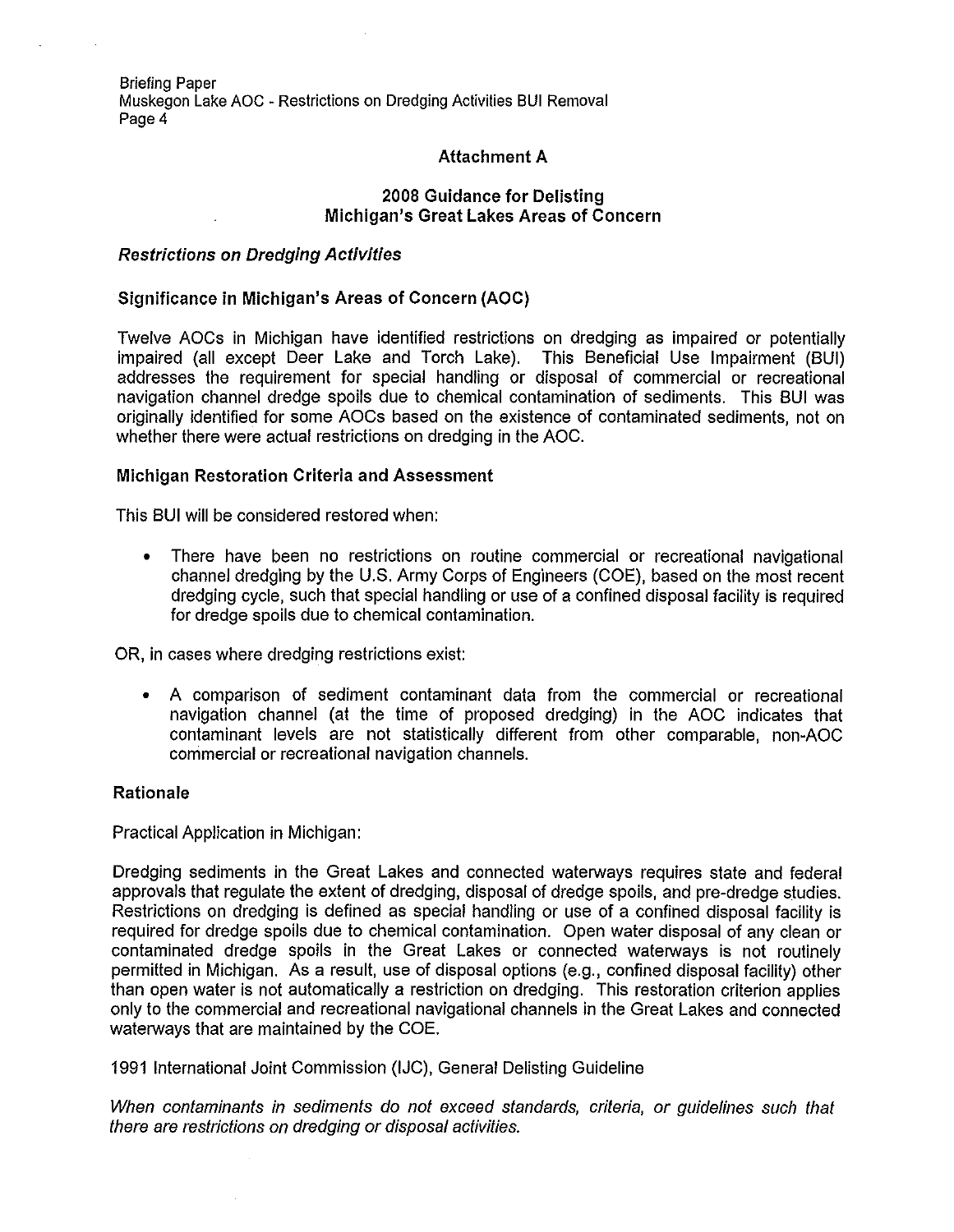Briefing Paper Muskegon Lake AOC -Restrictions on Dredging Activities BUI Removal Page 4

## **Attachment A**

## **2008 Guidance for Delisting Michigan's Great Lakes Areas of Concern**

## **Restrictions on Dredging Activities**

## **Significance in Michigan's Areas of Concern (AOC)**

Twelve AOCs in Michigan have identified restrictions on dredging as impaired or potentially impaired (all except Deer Lake and Torch Lake). This Beneficial Use Impairment (BUI) addresses the requirement for special handling or disposal of commercial or recreational navigation channel dredge spoils due to chemical contamination of sediments. This BUI was originally identified for some AOCs based on the existence of contaminated sediments, not on whether there were actual restrictions on dredging in the AOC.

## **Michigan Restoration Criteria and Assessment**

This BUI will be considered restored when:

• There have been no restrictions on routine commercial or recreational navigational channel dredging by the U.S. Army Corps of Engineers (COE), based on the most recent dredging cycle, such that special handling or use of a confined disposal facility is required for dredge spoils due to chemical contamination.

OR, in cases where dredging restrictions exist:

• A comparison of sediment contaminant data from the commercial or recreational navigation channel (at the time of proposed dredging) in the AOC indicates that contaminant levels are not statistically different from other comparable, non-AOC commercial or recreational navigation channels.

#### **Rationale**

Practical Application in Michigan:

Dredging sediments in the Great Lakes and connected waterways requires state and federal approvals that regulate the extent of dredging, disposal of dredge spoils, and pre-dredge studies. Restrictions on dredging is defined as special handling or use of a confined disposal facility is required for dredge spoils due to chemical contamination. Open water disposal of any clean or contaminated dredge spoils in the Great Lakes or connected waterways is not routinely permitted in Michigan. As a result, use of disposal options (e.g., confined disposal facility) other than open water is not automatically a restriction on dredging. This restoration criterion applies only to the commercial and recreational navigational channels in the Great Lakes and connected waterways that are maintained by the COE.

1991 International Joint Commission (IJC), General Delisting Guideline

When contaminants in sediments do not exceed standards, criteria, or guidelines such that there are restrictions on dredging or disposal activities.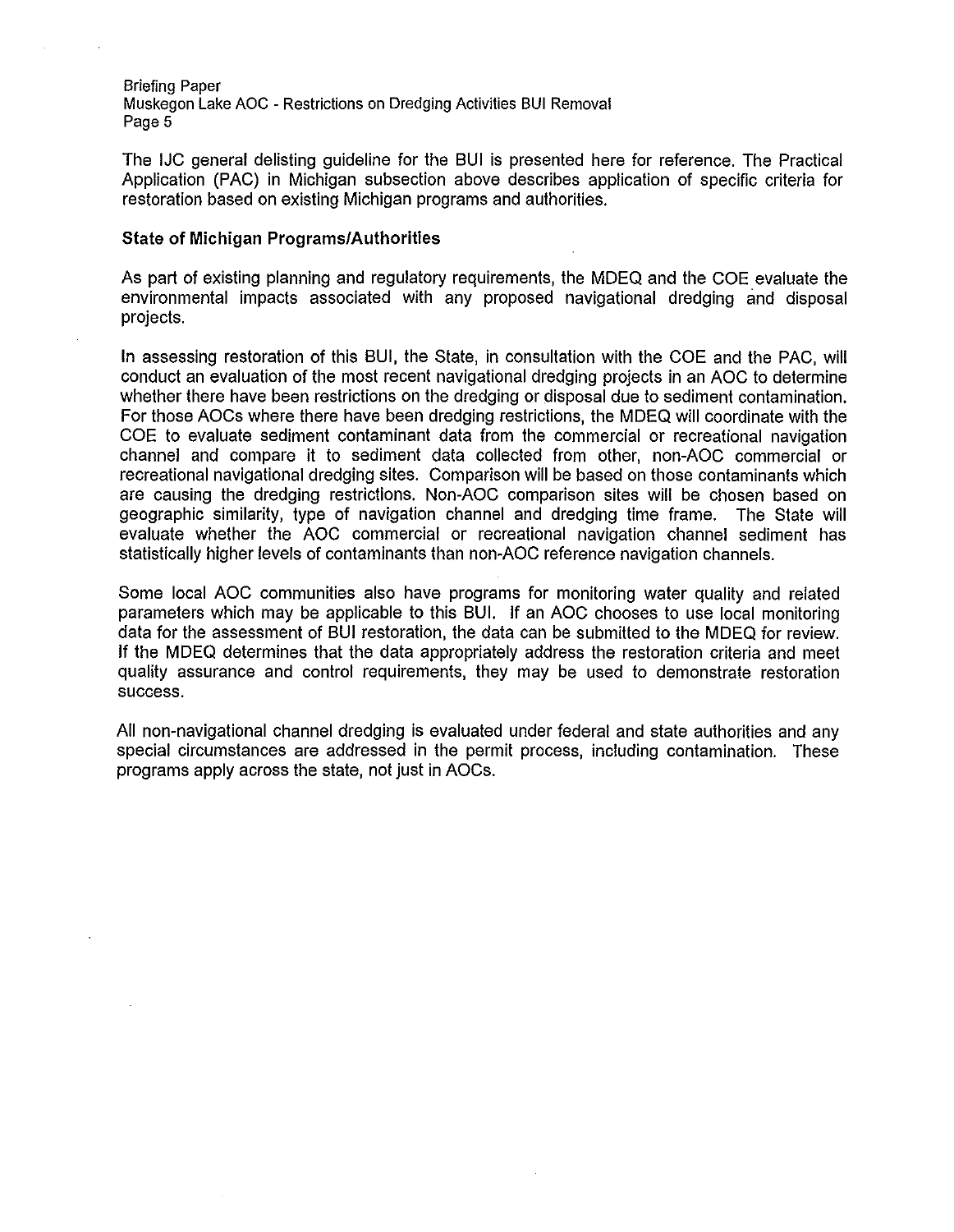Briefing Paper Muskegon Lake AOC - Restrictions on Dredging Activities BUI Removal Page 5

The IJC general delisting guideline for the BUI is presented here for reference. The Practical Application (PAC) in Michigan subsection above describes application of specific criteria for restoration based on existing Michigan programs and authorities.

## **State of Michigan Programs/Authorities**

As part of existing planning and regulatory requirements, the MDEQ and the COE evaluate the environmental impacts associated with any proposed navigational dredging and disposal projects.

In assessing restoration of this BUI, the State, in consultation with the COE and the PAC, will conduct an evaluation of the most recent navigational dredging projects in an AOC to determine whether there have been restrictions on the dredging or disposal due to sediment contamination. For those AOCs where there have been dredging restrictions, the MDEQ will coordinate with the COE to evaluate sediment contaminant data from the commercial or recreational navigation channel and compare it to sediment data collected from other, non-AOC commercial or recreational navigational dredging sites. Comparison will be based on those contaminants which are causing the dredging restrictions. Non-AOC comparison sites will be chosen based on geographic similarity, type of navigation channel and dredging time frame. The State will evaluate whether the AOC commercial or recreational navigation channel sediment has statistically higher levels of contaminants than non-AOC reference navigation channels.

Some local AOC communities also have programs for monitoring water quality and related parameters which may be applicable to this BUI. If an AOC chooses to use local monitoring data for the assessment of BUI restoration, the data can be submitted to the MDEQ for review. If the MDEQ determines that the data appropriately address the restoration criteria and meet quality assurance and control requirements, they may be used to demonstrate restoration success.

All non-navigational channel dredging is evaluated under federal and state authorities and any special circumstances are addressed in the permit process, including contamination. These programs apply across the state, not just in AOCs.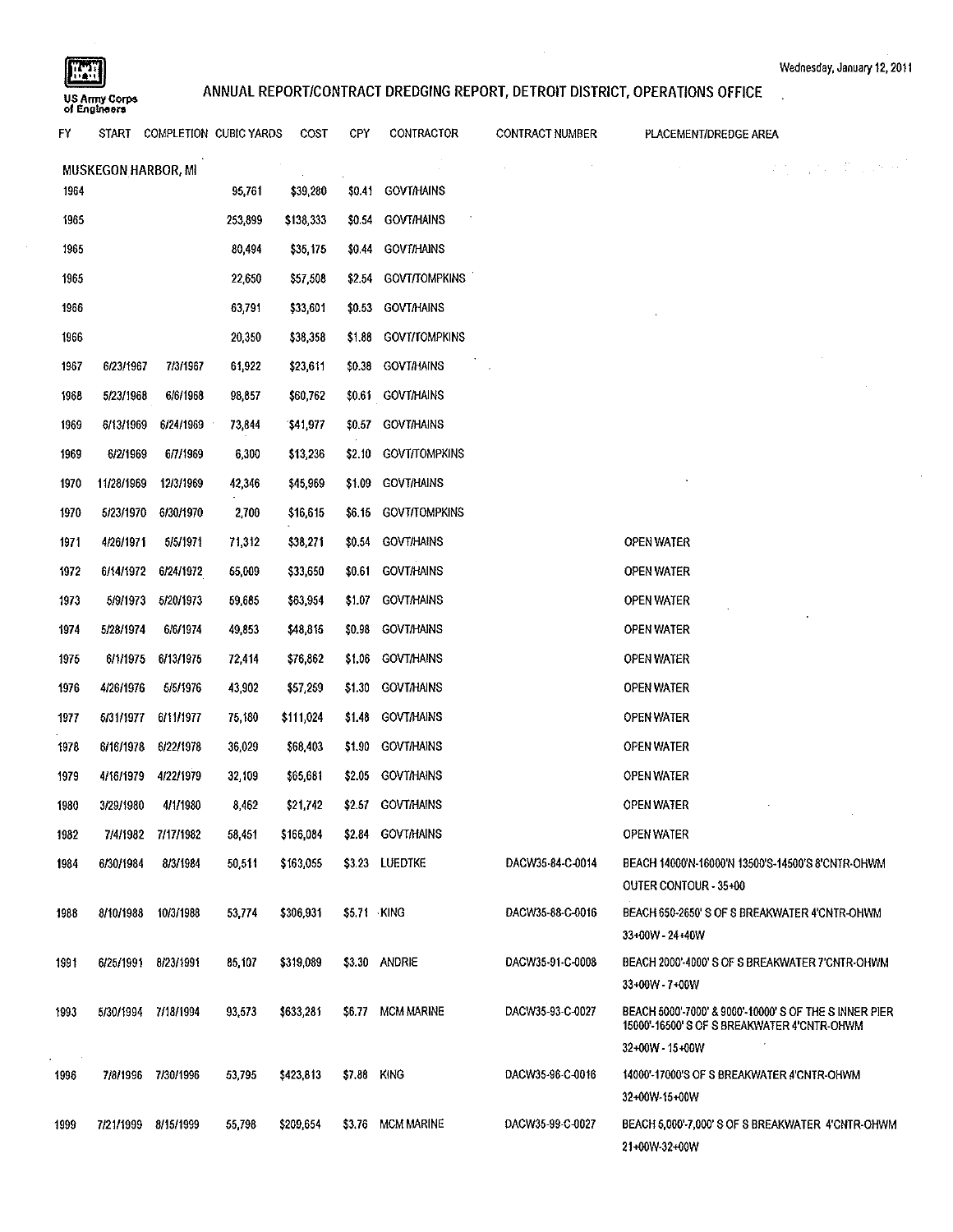$\sim$ 

l.

 $\ddot{\phantom{0}}$ 

**of Englnoera** 

# wednesday, January 12, 2011<br>
ANNUAL REPORT/CONTRACT DREDGING REPORT, DETROIT DISTRICT, OPERATIONS OFFICE<br>بالقراء المستوى المستوى المستوى المستوى المستوى المستوى المستوى المستوى المستوى المستوى المستوى المستوى المستوى

| FY.                              |            | START COMPLETION CUBIC YARDS |         | COST      | CPY         | CONTRACTOR           | <b>CONTRACT NUMBER</b> | PLACEMENT/DREDGE AREA                                                                                |  |
|----------------------------------|------------|------------------------------|---------|-----------|-------------|----------------------|------------------------|------------------------------------------------------------------------------------------------------|--|
| 经合同权 电工作机<br>MUSKEGON HARBOR, MI |            |                              |         |           |             |                      |                        |                                                                                                      |  |
| 1964                             |            |                              | 95,761  | \$39,280  |             | \$0.41 GOVT/HAINS    |                        |                                                                                                      |  |
| 1965                             |            |                              | 253,899 | \$138.333 | \$0.54      | <b>GOVT/HAINS</b>    |                        |                                                                                                      |  |
| 1965                             |            |                              | 80,494  | \$35,175  |             | \$0.44 GOVT/HAINS    |                        |                                                                                                      |  |
| 1965                             |            |                              | 22,650  | \$57,508  |             | \$2.54 GOVT/TOMPKINS |                        |                                                                                                      |  |
| 1966                             |            |                              | 63,791  | \$33,601  |             | \$0.53 GOVT/HAINS    |                        |                                                                                                      |  |
| 1966                             |            |                              | 20,350  | \$38,358  |             | \$1.88 GOVT/TOMPKINS |                        |                                                                                                      |  |
| 1967                             | 6/23/1967  | 7/3/1967                     | 61,922  | \$23,611  |             | \$0.38 GOVT/HAINS    |                        |                                                                                                      |  |
| 1968                             | 5/23/1968  | 6/6/1968                     | 98,857  | \$60,762  |             | \$0.61 GOVT/HAINS    |                        |                                                                                                      |  |
| 1969                             | 6/13/1969  | 6/24/1969                    | 73,844  | \$41,977  |             | \$0.57 GOVT/HAINS    |                        |                                                                                                      |  |
| 1969                             | 6/2/1969   | 6/7/1969                     | 6,300   | \$13,236  |             | \$2.10 GOVI/TOMPKINS |                        |                                                                                                      |  |
| 1970                             | 11/28/1969 | 12/3/1969                    | 42,346  | \$45,969  |             | \$1.09 GOVT/HAINS    |                        |                                                                                                      |  |
| 1970                             | 5/23/1970  | 6/30/1970                    | 2,700   | \$16,615  |             | \$6.15 GOVT/TOMPKINS |                        |                                                                                                      |  |
| 1971                             | 4/26/1971  | 5/5/1971                     | 71,312  | \$38,271  |             | \$0.54 GOVT/HAINS    |                        | <b>OPEN WATER</b>                                                                                    |  |
| 1972                             | 6/14/1972  | 6/24/1972                    | 55,009  | \$33,650  |             | \$0.61 GOVT/HAINS    |                        | <b>OPEN WATER</b>                                                                                    |  |
| 1973                             | 5/9/1973   | 5/20/1973                    | 59,685  | \$63,954  |             | \$1.07 GOVT/HAINS    |                        | OPEN WATER                                                                                           |  |
| 1974                             | 5/28/1974  | 6/6/1974                     | 49,853  | \$48,815  |             | \$0.98 GOVT/HAINS    |                        | <b>OPEN WATER</b>                                                                                    |  |
| 1975                             | 6/1/1975   | 6/13/1975                    | 72,414  | \$76,862  |             | \$1.06 GOVT/HAINS    |                        | <b>OPEN WATER</b>                                                                                    |  |
| 1976                             | 4/26/1976  | 5/5/1976                     | 43,902  | \$57,259  |             | \$1.30 GOVT/HAINS    |                        | <b>OPEN WATER</b>                                                                                    |  |
| 1977                             | 5/31/1977  | 6/11/1977                    | 75,180  | \$111,024 |             | \$1.48 GOVT/HAINS    |                        | <b>OPEN WATER</b>                                                                                    |  |
| 1978                             | 6/16/1978  | 6/22/1978                    | 36,029  | \$68,403  |             | \$1.90 GOVT/HAINS    |                        | <b>OPEN WATER</b>                                                                                    |  |
| 1979                             | 4/16/1979  | 4/22/1979                    | 32,109  | \$65,681  |             | \$2.05 GOVT/HAINS    |                        | <b>OPEN WATER</b>                                                                                    |  |
| 1980                             | 3/29/1980  | 4/1/1980                     | 8,462   | \$21,742  |             | \$2.57 GOVT/HAINS    |                        | <b>OPEN WATER</b>                                                                                    |  |
| 1982                             |            | 7/4/1982 7/17/1982           | 58,451  | \$166,084 |             | \$2.84 GOVT/HAINS    |                        | OPEN WATER                                                                                           |  |
| 1984                             | 6/30/1984  | 8/3/1984                     | 50,511  | \$163,055 |             | \$3.23 LUEDTKE       | DACW35-84-C-0014       | BEACH 14000W-16000W 13500'S-14500'S 8'CNTR-OHWM<br>OUTER CONTOUR - 35+00                             |  |
| 1988                             | 8/10/1988  | 10/3/1988                    | 53,774  | \$306,931 | \$5.71 KING |                      | DACW35-88-C-0016       | BEACH 650-2650'S OF S BREAKWATER 4'CNTR-OHWM                                                         |  |
|                                  |            |                              |         |           |             |                      |                        | 33+00W - 24+40W                                                                                      |  |
| 1991                             | 6/25/1991  | 8/23/1991                    | 85,107  | \$319,089 |             | \$3.30 ANDRIE        | DACW35-91-C-0008       | BEACH 2000' 4000' S OF S BREAKWATER 7'CNTR-OHWM                                                      |  |
|                                  |            |                              |         |           |             |                      |                        | 33+00W - 7+00W                                                                                       |  |
| 1993                             | 5/30/1994  | 7/18/1994                    | 93,573  | \$633,281 |             | \$6.77 MCM MARINE    | DACW35-93-C-0027       | BEACH 5000'-7000' & 9000'-10000' S OF THE S INNER PIER<br>15000'-16500'S OF S BREAKWATER 4'CNTR-OHWM |  |
|                                  |            |                              |         |           |             |                      |                        | 32+00W - 15+00W                                                                                      |  |
| 1996                             | 7/8/1996   | 7/30/1996                    | 53,795  | \$423,813 | \$7.88 KING |                      | DACW35-96-C-0016       | 14000'-17000'S OF S BREAKWATER 4'CNTR-OHWM<br>32+00W-15+00W                                          |  |
| 1999                             | 7/21/1999  | 8/15/1999                    | 55,798  | \$209,654 |             | \$3.76 MCM MARINE    | DACW35-99-C-0027       | BEACH 5,000'-7,000' S OF S BREAKWATER 4'CNTR-OHWM<br>21+00W-32+00W                                   |  |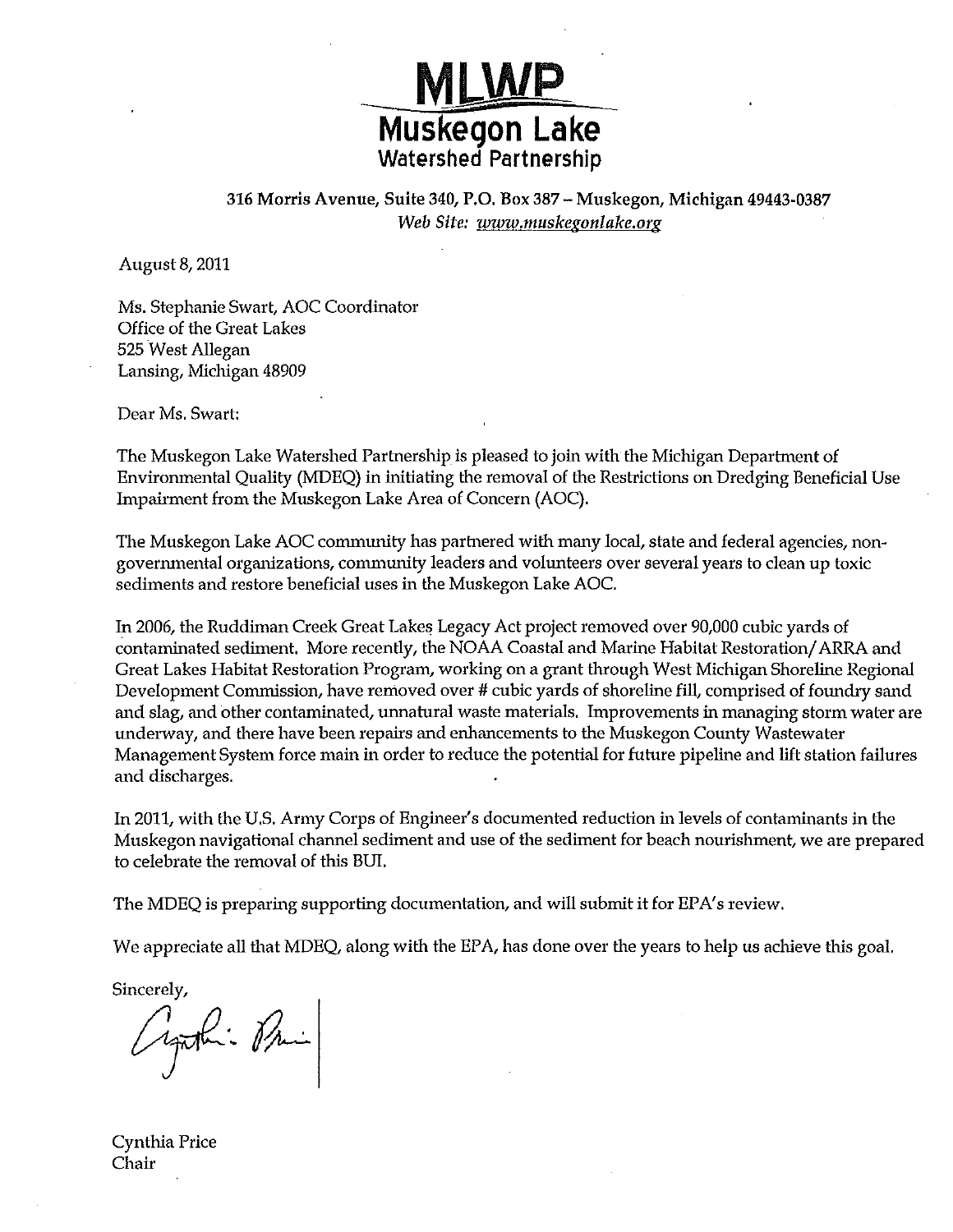

316 Morris Avenue, Suite 340, P.O. Box 387 - Muskegon, Michigan 49443-0387 Web Site: www.muskegonlake.org

August 8, 2011

Ms. Stephanie Swart, AOC Coordinator Office of the Great Lakes 525 West Allegan Lansing, Michigan 48909

Dear Ms. Swart:

The Muskegon Lake Watershed Partnership is pleased to join with the Michigan Department of Environmental Quality (MDEQ) in initiating the removal of the Restrictions on Dredging Beneficial Use Impairment from the Muskegon Lake Area of Concern (AOC).

The Muskegon Lake AOC community has partnered with many local, state and federal agencies, nongovernmental organizations, community leaders and volunteers over several years to clean up toxic sediments and restore beneficial uses in the Muskegon Lake AOC.

In 2006, the Ruddiman Creek Great Lakes Legacy Act project removed over 90,000 cubic yards of contaminated sediment. More recently, the NOAA Coastal and Marine Habitat Restoration/ARRA and Great Lakes Habitat Restoration Program, working on a grant through West Michigan Shoreline Regional Development Commission, have removed over # cubic yards of shoreline fill, comprised of foundry sand and slag, and other contaminated, unnatural waste materials. Improvements in managing storm water are underway, and there have been repairs and enhancements to the Muskegon County Wastewater Management System force main in order to reduce the potential for future pipeline and lift station failures and discharges.

In 2011, with the U.S. Army Corps of Engineer's documented reduction in levels of contaminants in the Muskegon navigational channel sediment and use of the sediment for beach nourishment, we are prepared to celebrate the removal of this BUI.

The MDEQ is preparing supporting documentation, and will submit it for EPA's review.

We appreciate all that MDEQ, along with the EPA, has done over the years to help us achieve this goal.

Sincerely,

yaki Pri

Cynthia Price Chair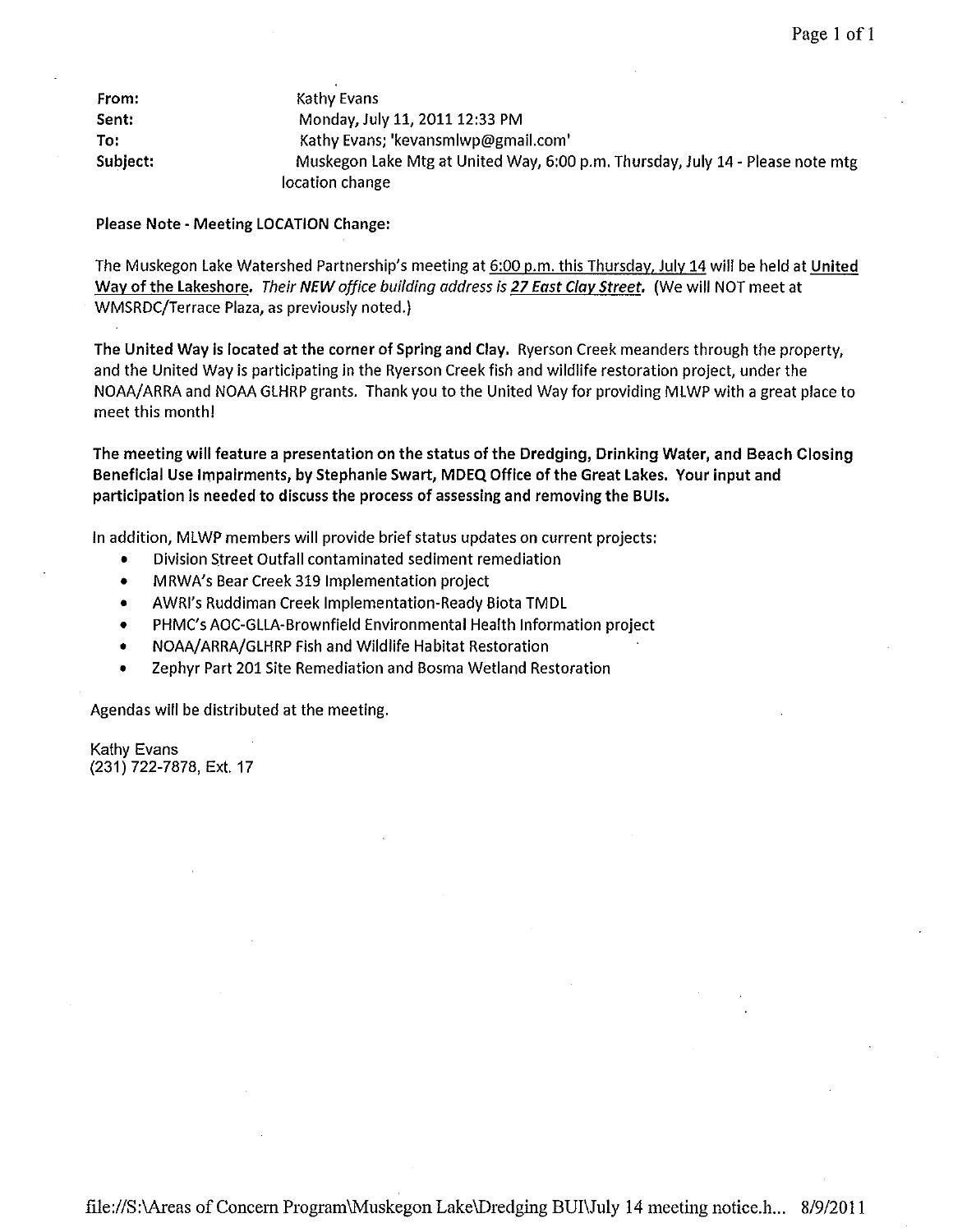| From:    | Kathy Evans                                                                    |
|----------|--------------------------------------------------------------------------------|
| Sent:    | Monday, July 11, 2011 12:33 PM                                                 |
| To:      | Kathy Evans; 'kevansmlwp@gmail.com'                                            |
| Subject: | Muskegon Lake Mtg at United Way, 6:00 p.m. Thursday, July 14 - Please note mtg |
|          | location change                                                                |

Please Note- Meeting LOCATION Change:

The Muskegon Lake Watershed Partnership's meeting at 6:00 p.m. this Thursday, July 14 will be held at United Way of the Lakeshore, *Their NEW office building address is 27 East Clay Street,* (We will NOT meet at WMSRDC/Terrace Plaza, as previously noted.)

The United Way is located at the corner of Spring and Clay, Ryerson Creek meanders through the property, and the United Way is participating in the Ryerson Creek fish and wildlife restoration project, under the NOAA/ARRA and NOAA GLHRP grants. Thank you to the United Way for providing MLWP with a great place to meet this month!

The meeting will feature a presentation on the status of the Dredging, Drinking Water, and Beach Closing Beneficial Use Impairments, by Stephanie Swart, MDEQ Office of the Great Lakes. Your input and participation is needed to discuss the process of assessing and removing the BUis.

In addition, MLWP members will provide brief status updates on current projects:

- Division Street Outfall contaminated sediment remediation
- MRWA's Bear Creek 319 Implementation project
- AWRI's Ruddiman Creek Implementation-Ready Biota TMDL
- PHMC's AOC-GLLA-Brownfield Environmental Health Information project
- NOAA/ARRA/GLHRP Fish and Wildlife Habitat Restoration
- Zephyr Part 201 Site Remediation and Bosma Wetland Restoration

Agendas will be distributed at the meeting.

Kathy Evans (231) 722-7878, Ext. 17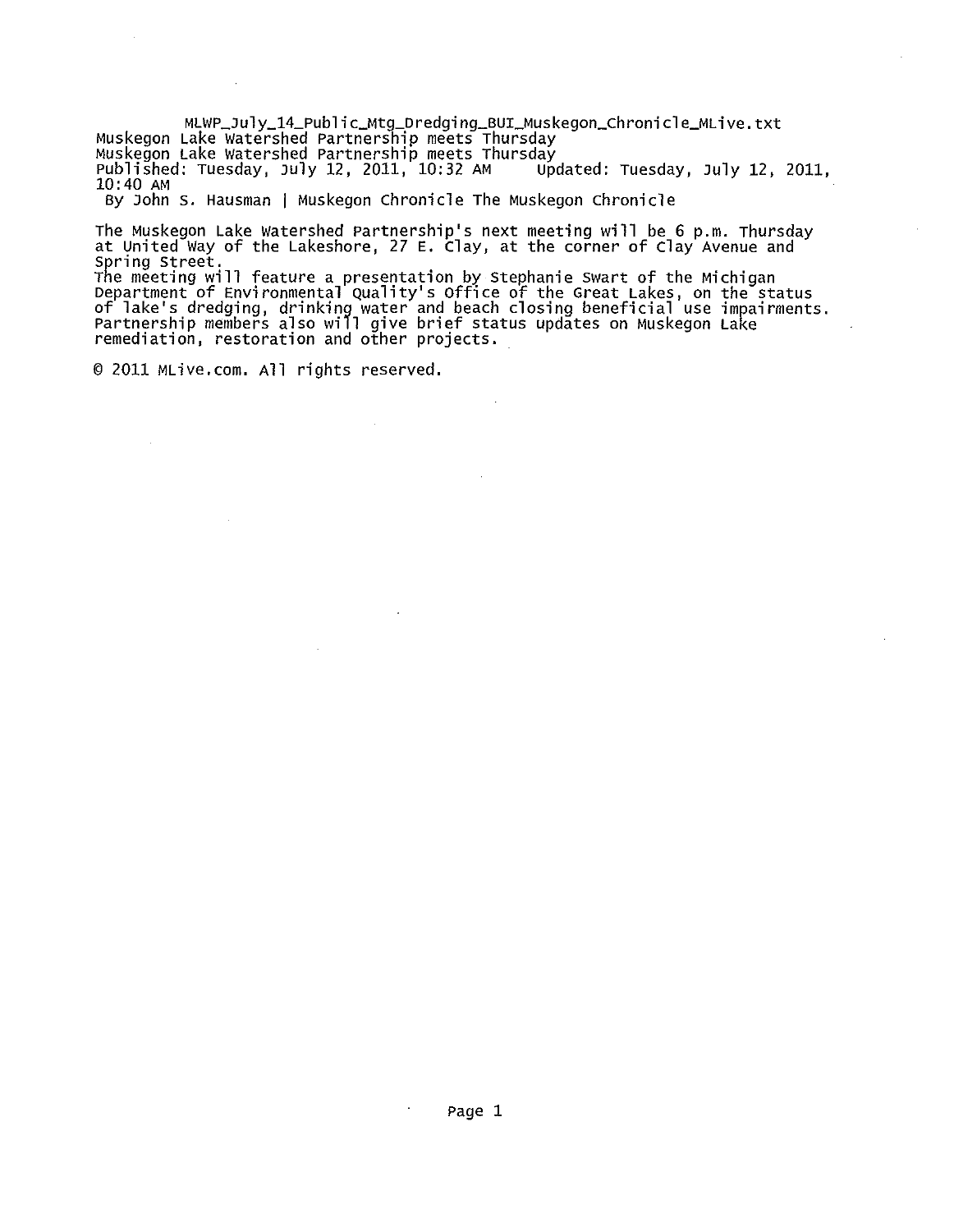MLWP\_July\_14\_Public\_Mtg\_Dredging\_BUI\_Muskegon\_Chronicle\_MLive.txt<br>Muskegon Lake Watershed Partnership meets Thursday<br>Muskegon Lake Watershed Partnership meets Thursday<br>Published: Tuesday, July 12, 2011, 10:32 AM Updated: T 10:40 AM

By John S. Hausman | Muskegon Chronicle The Muskegon Chronicle

The Muskegon Lake watershed Partnership's next meeting will be 6 p.m. Thursday at united Way of the Lakeshore, 27 E. clay, at the corner of clay Avenue and Spring street.

The meeting will feature a presentation by Stephanie Swart of the Michigan<br>Department of Environmental Quality's Office of the Great Lakes, on the status of lake's dredging, drinking water and beach closing beneficial use impairments.<br>Partnership members also will give brief status updates on Muskegon Lake remediation, restoration and other projects.

© 2011 MLive.com. All rights reserved.

 $\mathcal{L}$